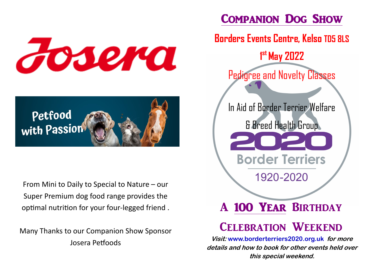



From Mini to Daily to Special to Nature – our Super Premium dog food range provides the optimal nutrition for your four-legged friend .

Many Thanks to our Companion Show Sponsor Josera Petfoods

## Companion Dog Show

# **Borders Events Centre, Kelso TD5 8LS 1 st May 2022** Pedigree and Novelty Classes In Aid of Border Terrier Welfare & Breed Health Group **Border Terriers** 1920-2020

# A 100 Year Birthday

# Celebration Weekend

**Visit: www.borderterriers2020.org.uk for more details and how to book for other events held over this special weekend.**